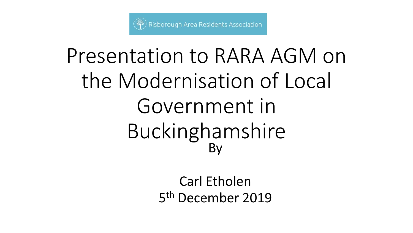

## Presentation to RARA AGM on the Modernisation of Local Government in Buckinghamshire By

Carl Etholen 5<sup>th</sup> December 2019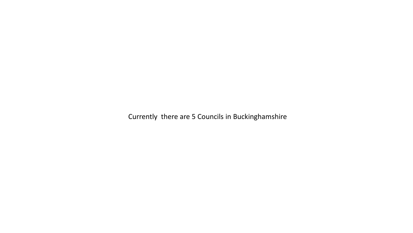Currently there are 5 Councils in Buckinghamshire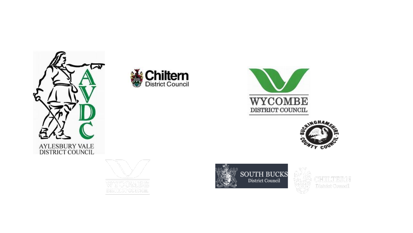







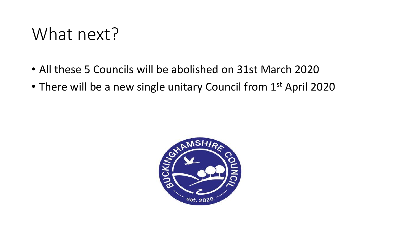#### What next?

- All these 5 Councils will be abolished on 31st March 2020
- There will be a new single unitary Council from 1<sup>st</sup> April 2020

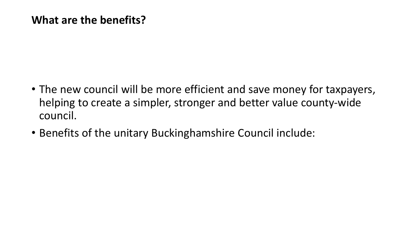#### **What are the benefits?**

- The new council will be more efficient and save money for taxpayers, helping to create a simpler, stronger and better value county-wide council.
- Benefits of the unitary Buckinghamshire Council include: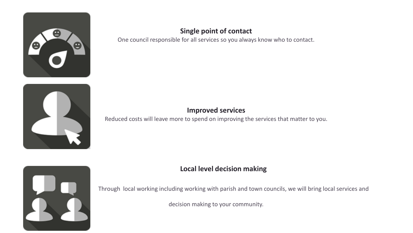

#### **Single point of contact**

One council responsible for all services so you always know who to contact.

#### **Improved services**

Reduced costs will leave more to spend on improving the services that matter to you.



#### **Local level decision making**

Through Through local working including working with parish and town councils, we will bring local services and

decision making to your community.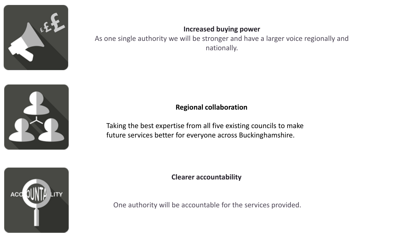

AC

#### **Increased buying power**

As one single authority we will be stronger and have a larger voice regionally and nationally.

#### **Regional collaboration**

Taking the best expertise from all five existing councils to make future services better for everyone across Buckinghamshire.

**Clearer accountability**

One authority will be accountable for the services provided.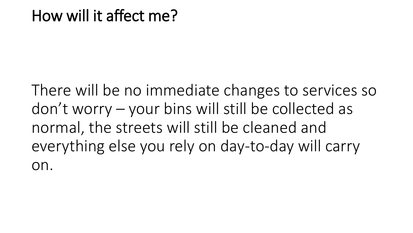#### How will it affect me?

There will be no immediate changes to services so don't worry – your bins will still be collected as normal, the streets will still be cleaned and everything else you rely on day-to-day will carry on.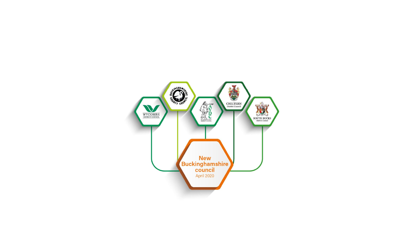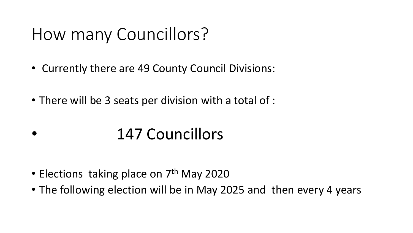### How many Councillors?

- Currently there are 49 County Council Divisions:
- There will be 3 seats per division with a total of :

### 147 Councillors

- Elections taking place on 7<sup>th</sup> May 2020
- The following election will be in May 2025 and then every 4 years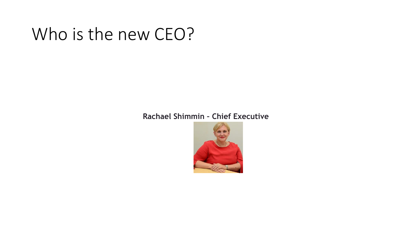### Who is the new CEO?

**Rachael Shimmin – Chief Executive**

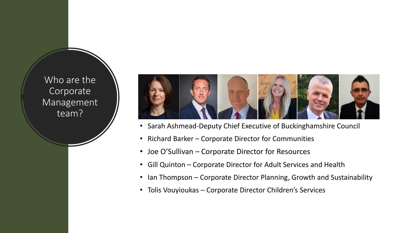Who are the **Corporate** Management team?



- Sarah Ashmead-Deputy Chief Executive of Buckinghamshire Council
- Richard Barker Corporate Director for Communities
- Joe O'Sullivan Corporate Director for Resources
- Gill Quinton Corporate Director for Adult Services and Health
- Ian Thompson Corporate Director Planning, Growth and Sustainability
- Tolis Vouyioukas Corporate Director Children's Services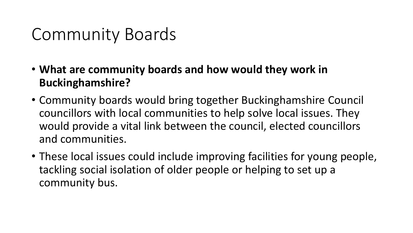### Community Boards

- **What are community boards and how would they work in Buckinghamshire?**
- Community boards would bring together Buckinghamshire Council councillors with local communities to help solve local issues. They would provide a vital link between the council, elected councillors and communities.
- These local issues could include improving facilities for young people, tackling social isolation of older people or helping to set up a community bus.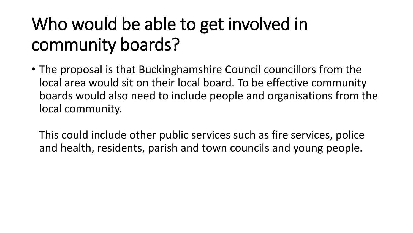### Who would be able to get involved in community boards?

• The proposal is that Buckinghamshire Council councillors from the local area would sit on their local board. To be effective community boards would also need to include people and organisations from the local community.

This could include other public services such as fire services, police and health, residents, parish and town councils and young people.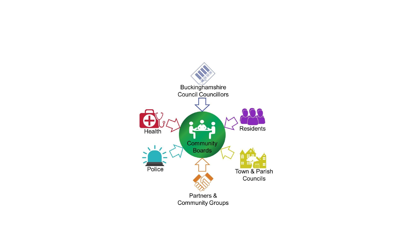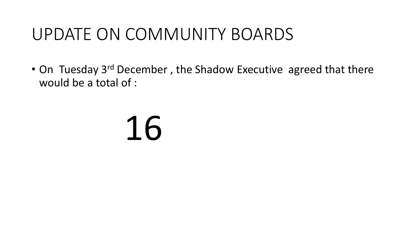#### UPDATE ON COMMUNITY BOARDS

• On Tuesday 3<sup>rd</sup> December, the Shadow Executive agreed that there would be a total of :

# 16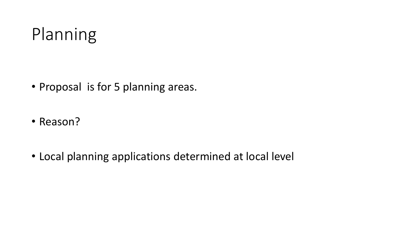### Planning

- Proposal is for 5 planning areas.
- Reason?
- Local planning applications determined at local level